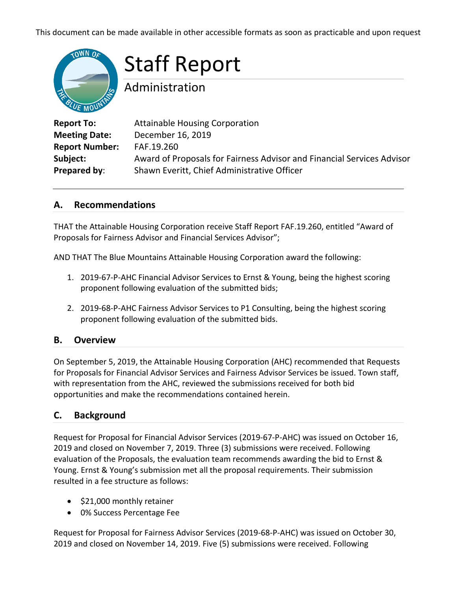This document can be made available in other accessible formats as soon as practicable and upon request



# Staff Report

Administration

| <b>Attainable Housing Corporation</b>                                  |
|------------------------------------------------------------------------|
| December 16, 2019                                                      |
| FAF.19.260                                                             |
| Award of Proposals for Fairness Advisor and Financial Services Advisor |
| Shawn Everitt, Chief Administrative Officer                            |
|                                                                        |

## **A. Recommendations**

THAT the Attainable Housing Corporation receive Staff Report FAF.19.260, entitled "Award of Proposals for Fairness Advisor and Financial Services Advisor";

AND THAT The Blue Mountains Attainable Housing Corporation award the following:

- 1. 2019-67-P-AHC Financial Advisor Services to Ernst & Young, being the highest scoring proponent following evaluation of the submitted bids;
- 2. 2019-68-P-AHC Fairness Advisor Services to P1 Consulting, being the highest scoring proponent following evaluation of the submitted bids.

# **B. Overview**

On September 5, 2019, the Attainable Housing Corporation (AHC) recommended that Requests for Proposals for Financial Advisor Services and Fairness Advisor Services be issued. Town staff, with representation from the AHC, reviewed the submissions received for both bid opportunities and make the recommendations contained herein.

# **C. Background**

Request for Proposal for Financial Advisor Services (2019-67-P-AHC) was issued on October 16, 2019 and closed on November 7, 2019. Three (3) submissions were received. Following evaluation of the Proposals, the evaluation team recommends awarding the bid to Ernst & Young. Ernst & Young's submission met all the proposal requirements. Their submission resulted in a fee structure as follows:

- \$21,000 monthly retainer
- 0% Success Percentage Fee

Request for Proposal for Fairness Advisor Services (2019-68-P-AHC) was issued on October 30, 2019 and closed on November 14, 2019. Five (5) submissions were received. Following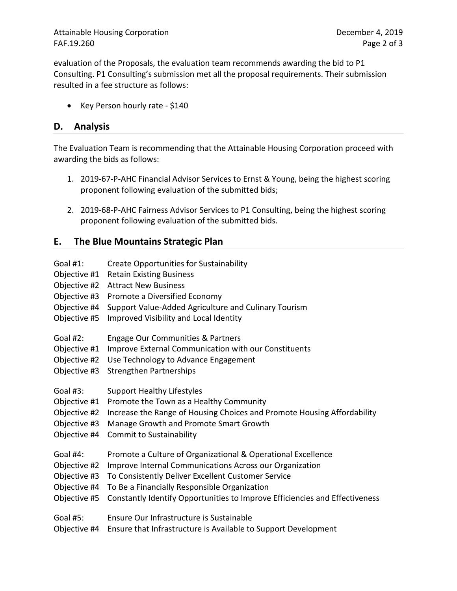Attainable Housing Corporation **December 4, 2019** FAF.19.260 Page 2 of 3

evaluation of the Proposals, the evaluation team recommends awarding the bid to P1 Consulting. P1 Consulting's submission met all the proposal requirements. Their submission resulted in a fee structure as follows:

• Key Person hourly rate - \$140

## **D. Analysis**

The Evaluation Team is recommending that the Attainable Housing Corporation proceed with awarding the bids as follows:

- 1. 2019-67-P-AHC Financial Advisor Services to Ernst & Young, being the highest scoring proponent following evaluation of the submitted bids;
- 2. 2019-68-P-AHC Fairness Advisor Services to P1 Consulting, being the highest scoring proponent following evaluation of the submitted bids.

# **E. The Blue Mountains Strategic Plan**

Goal #1: Create Opportunities for Sustainability Objective #1 Retain Existing Business Objective #2 Attract New Business Objective #3 Promote a Diversified Economy Objective #4 Support Value-Added Agriculture and Culinary Tourism Objective #5 Improved Visibility and Local Identity Goal #2: Engage Our Communities & Partners Objective #1 Improve External Communication with our Constituents Objective #2 Use Technology to Advance Engagement Objective #3 Strengthen Partnerships Goal #3: Support Healthy Lifestyles Objective #1 Promote the Town as a Healthy Community Objective #2 Increase the Range of Housing Choices and Promote Housing Affordability Objective #3 Manage Growth and Promote Smart Growth Objective #4 Commit to Sustainability Goal #4: Promote a Culture of Organizational & Operational Excellence Objective #2 Improve Internal Communications Across our Organization Objective #3 To Consistently Deliver Excellent Customer Service Objective #4 To Be a Financially Responsible Organization Objective #5 Constantly Identify Opportunities to Improve Efficiencies and Effectiveness Goal #5: Ensure Our Infrastructure is Sustainable Objective #4 Ensure that Infrastructure is Available to Support Development